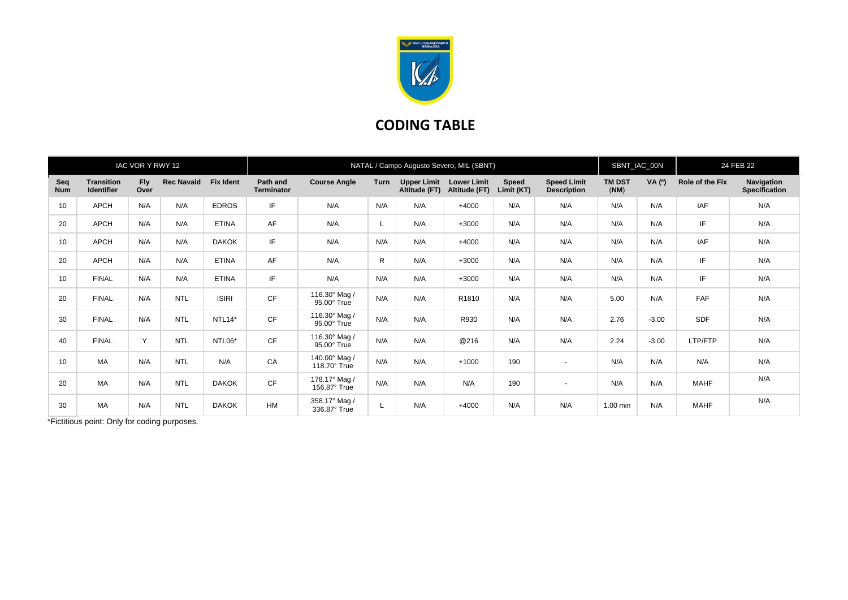

## **CODING TABLE**

| IAC VOR Y RWY 12  |                                 |                    |                   |                     | NATAL / Campo Augusto Severo, MIL (SBNT) |                                     |              |                                     |                                     |                     |                                          |                       | SBNT_IAC_00N |                 | 24 FEB 22                          |  |
|-------------------|---------------------------------|--------------------|-------------------|---------------------|------------------------------------------|-------------------------------------|--------------|-------------------------------------|-------------------------------------|---------------------|------------------------------------------|-----------------------|--------------|-----------------|------------------------------------|--|
| Seq<br><b>Num</b> | <b>Transition</b><br>Identifier | <b>Fly</b><br>Over | <b>Rec Navaid</b> | <b>Fix Ident</b>    | Path and<br><b>Terminator</b>            | <b>Course Angle</b>                 | <b>Turn</b>  | <b>Upper Limit</b><br>Altitude (FT) | <b>Lower Limit</b><br>Altitude (FT) | Speed<br>Limit (KT) | <b>Speed Limit</b><br><b>Description</b> | <b>TM DST</b><br>(NM) | VA $(°)$     | Role of the Fix | Navigation<br><b>Specification</b> |  |
| 10                | <b>APCH</b>                     | N/A                | N/A               | <b>EDROS</b>        | IF                                       | N/A                                 | N/A          | N/A                                 | $+4000$                             | N/A                 | N/A                                      | N/A                   | N/A          | <b>IAF</b>      | N/A                                |  |
| 20                | <b>APCH</b>                     | N/A                | N/A               | <b>ETINA</b>        | AF                                       | N/A                                 | L.           | N/A                                 | $+3000$                             | N/A                 | N/A                                      | N/A                   | N/A          | IF.             | N/A                                |  |
| 10                | <b>APCH</b>                     | N/A                | N/A               | <b>DAKOK</b>        | IF                                       | N/A                                 | N/A          | N/A                                 | $+4000$                             | N/A                 | N/A                                      | N/A                   | N/A          | <b>IAF</b>      | N/A                                |  |
| 20                | <b>APCH</b>                     | N/A                | N/A               | <b>ETINA</b>        | AF                                       | N/A                                 | $\mathsf{R}$ | N/A                                 | $+3000$                             | N/A                 | N/A                                      | N/A                   | N/A          | IF.             | N/A                                |  |
| 10                | <b>FINAL</b>                    | N/A                | N/A               | <b>ETINA</b>        | IF                                       | N/A                                 | N/A          | N/A                                 | $+3000$                             | N/A                 | N/A                                      | N/A                   | N/A          | IF.             | N/A                                |  |
| 20                | <b>FINAL</b>                    | N/A                | <b>NTL</b>        | <b>ISIRI</b>        | CF                                       | 116.30° Mag /<br>95.00° True        | N/A          | N/A                                 | R1810                               | N/A                 | N/A                                      | 5.00                  | N/A          | <b>FAF</b>      | N/A                                |  |
| 30                | <b>FINAL</b>                    | N/A                | <b>NTL</b>        | NTL <sub>14</sub> * | CF                                       | 116.30° Mag /<br>95.00° True        | N/A          | N/A                                 | R930                                | N/A                 | N/A                                      | 2.76                  | $-3.00$      | <b>SDF</b>      | N/A                                |  |
| 40                | <b>FINAL</b>                    | $\vee$             | <b>NTL</b>        | NTL06*              | CF                                       | 116.30° Mag /<br>$95.00^\circ$ True | N/A          | N/A                                 | @216                                | N/A                 | N/A                                      | 2.24                  | $-3.00$      | LTP/FTP         | N/A                                |  |
| 10                | MA                              | N/A                | <b>NTL</b>        | N/A                 | CA                                       | 140.00° Mag /<br>118.70° True       | N/A          | N/A                                 | $+1000$                             | 190                 | $\overline{\phantom{a}}$                 | N/A                   | N/A          | N/A             | N/A                                |  |
| 20                | MA                              | N/A                | <b>NTL</b>        | <b>DAKOK</b>        | CF                                       | 178.17° Mag /<br>156.87° True       | N/A          | N/A                                 | N/A                                 | 190                 | $\overline{\phantom{a}}$                 | N/A                   | N/A          | <b>MAHF</b>     | N/A                                |  |
| 30                | <b>MA</b>                       | N/A                | <b>NTL</b>        | <b>DAKOK</b>        | <b>HM</b>                                | 358.17° Mag /<br>336.87° True       | L            | N/A                                 | $+4000$                             | N/A                 | N/A                                      | 1.00 min              | N/A          | <b>MAHF</b>     | N/A                                |  |

\*Fictitious point: Only for coding purposes.